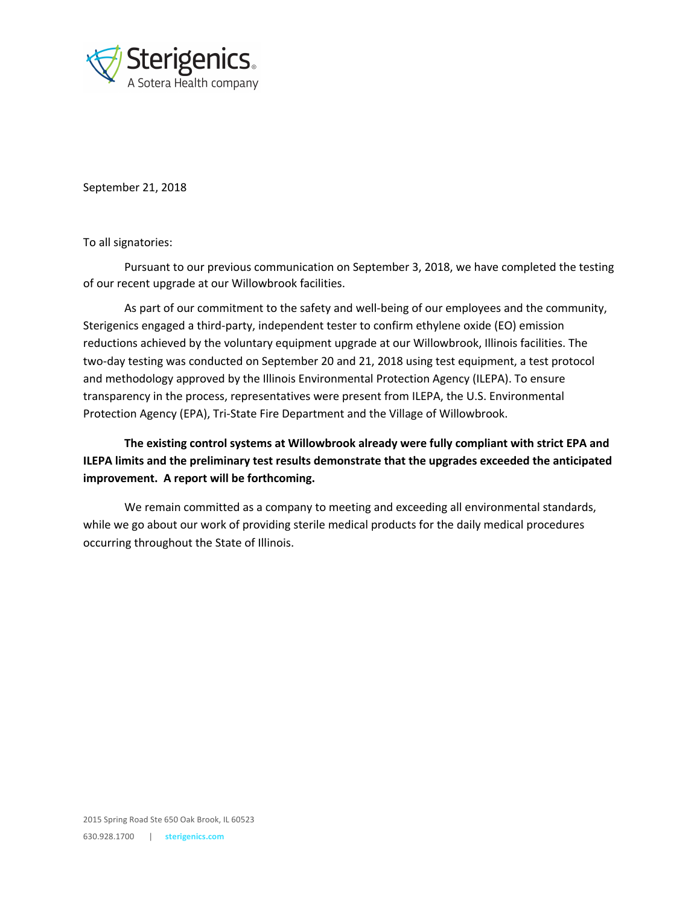

September 21, 2018

To all signatories:

Pursuant to our previous communication on September 3, 2018, we have completed the testing of our recent upgrade at our Willowbrook facilities.

As part of our commitment to the safety and well-being of our employees and the community, Sterigenics engaged a third-party, independent tester to confirm ethylene oxide (EO) emission reductions achieved by the voluntary equipment upgrade at our Willowbrook, Illinois facilities. The two-day testing was conducted on September 20 and 21, 2018 using test equipment, a test protocol and methodology approved by the Illinois Environmental Protection Agency (ILEPA). To ensure transparency in the process, representatives were present from ILEPA, the U.S. Environmental Protection Agency (EPA), Tri-State Fire Department and the Village of Willowbrook.

**The existing control systems at Willowbrook already were fully compliant with strict EPA and ILEPA limits and the preliminary test results demonstrate that the upgrades exceeded the anticipated improvement. A report will be forthcoming.**

We remain committed as a company to meeting and exceeding all environmental standards, while we go about our work of providing sterile medical products for the daily medical procedures occurring throughout the State of Illinois.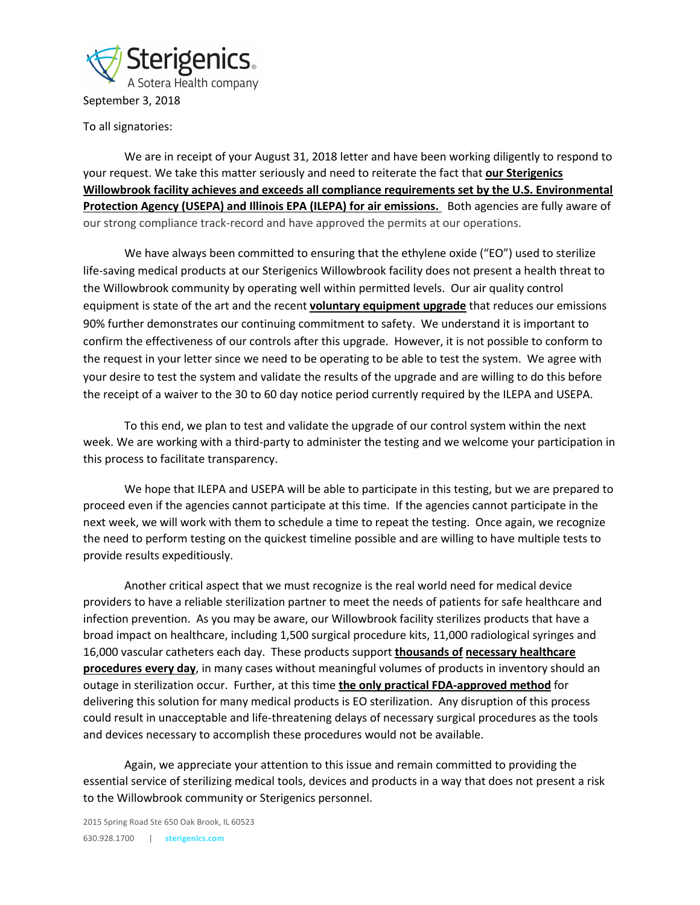

To all signatories:

We are in receipt of your August 31, 2018 letter and have been working diligently to respond to your request. We take this matter seriously and need to reiterate the fact that **our Sterigenics Willowbrook facility achieves and exceeds all compliance requirements set by the U.S. Environmental Protection Agency (USEPA) and Illinois EPA (ILEPA) for air emissions.** Both agencies are fully aware of our strong compliance track-record and have approved the permits at our operations.

We have always been committed to ensuring that the ethylene oxide ("EO") used to sterilize life-saving medical products at our Sterigenics Willowbrook facility does not present a health threat to the Willowbrook community by operating well within permitted levels. Our air quality control equipment is state of the art and the recent **voluntary equipment upgrade** that reduces our emissions 90% further demonstrates our continuing commitment to safety. We understand it is important to confirm the effectiveness of our controls after this upgrade. However, it is not possible to conform to the request in your letter since we need to be operating to be able to test the system. We agree with your desire to test the system and validate the results of the upgrade and are willing to do this before the receipt of a waiver to the 30 to 60 day notice period currently required by the ILEPA and USEPA.

To this end, we plan to test and validate the upgrade of our control system within the next week. We are working with a third-party to administer the testing and we welcome your participation in this process to facilitate transparency.

We hope that ILEPA and USEPA will be able to participate in this testing, but we are prepared to proceed even if the agencies cannot participate at this time. If the agencies cannot participate in the next week, we will work with them to schedule a time to repeat the testing. Once again, we recognize the need to perform testing on the quickest timeline possible and are willing to have multiple tests to provide results expeditiously.

Another critical aspect that we must recognize is the real world need for medical device providers to have a reliable sterilization partner to meet the needs of patients for safe healthcare and infection prevention. As you may be aware, our Willowbrook facility sterilizes products that have a broad impact on healthcare, including 1,500 surgical procedure kits, 11,000 radiological syringes and 16,000 vascular catheters each day. These products support **thousands of necessary healthcare procedures every day**, in many cases without meaningful volumes of products in inventory should an outage in sterilization occur. Further, at this time **the only practical FDA-approved method** for delivering this solution for many medical products is EO sterilization. Any disruption of this process could result in unacceptable and life-threatening delays of necessary surgical procedures as the tools and devices necessary to accomplish these procedures would not be available.

Again, we appreciate your attention to this issue and remain committed to providing the essential service of sterilizing medical tools, devices and products in a way that does not present a risk to the Willowbrook community or Sterigenics personnel.